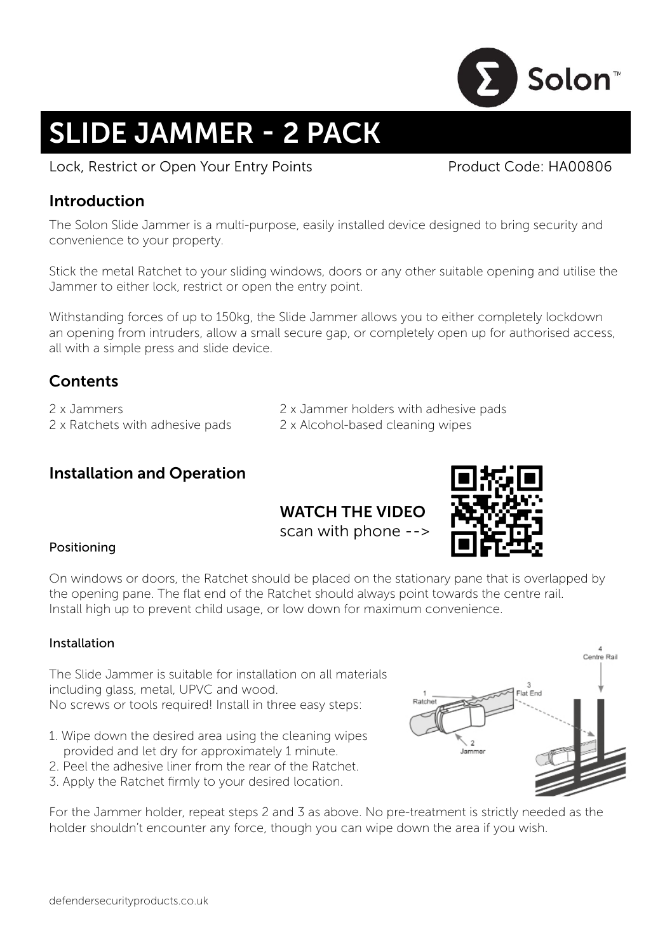

# SLIDE JAMMER - 2 PACK

Lock, Restrict or Open Your Entry Points **Product Code: HA00806** 

## Introduction

The Solon Slide Jammer is a multi-purpose, easily installed device designed to bring security and convenience to your property.

Stick the metal Ratchet to your sliding windows, doors or any other suitable opening and utilise the Jammer to either lock, restrict or open the entry point.

Withstanding forces of up to 150kg, the Slide Jammer allows you to either completely lockdown an opening from intruders, allow a small secure gap, or completely open up for authorised access, all with a simple press and slide device.

# **Contents**

2 x Jammers 2 x Jammer holders with adhesive pads 2 x Ratchets with adhesive pads 2 x Alcohol-based cleaning wipes

# Installation and Operation

# WATCH THE VIDEO

scan with phone -->



#### Positioning

On windows or doors, the Ratchet should be placed on the stationary pane that is overlapped by the opening pane. The flat end of the Ratchet should always point towards the centre rail. Install high up to prevent child usage, or low down for maximum convenience.

#### Installation

The Slide Jammer is suitable for installation on all materials including glass, metal, UPVC and wood. No screws or tools required! Install in three easy steps:

- 1. Wipe down the desired area using the cleaning wipes provided and let dry for approximately 1 minute.
- 2. Peel the adhesive liner from the rear of the Ratchet.
- 3. Apply the Ratchet firmly to your desired location.

For the Jammer holder, repeat steps 2 and 3 as above. No pre-treatment is strictly needed as the holder shouldn't encounter any force, though you can wipe down the area if you wish.